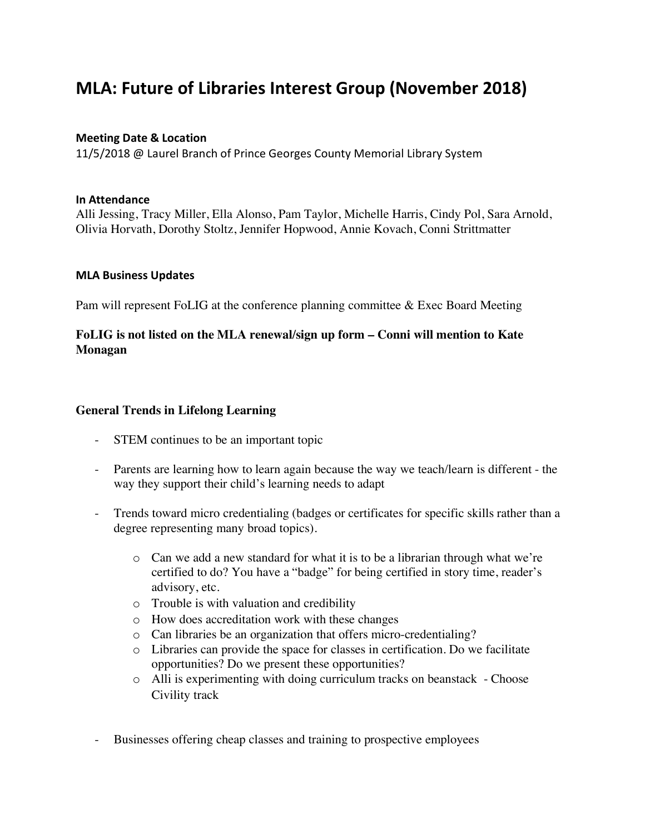# **MLA: Future of Libraries Interest Group (November 2018)**

### **Meeting Date & Location**

11/5/2018 @ Laurel Branch of Prince Georges County Memorial Library System

#### **In Attendance**

Alli Jessing, Tracy Miller, Ella Alonso, Pam Taylor, Michelle Harris, Cindy Pol, Sara Arnold, Olivia Horvath, Dorothy Stoltz, Jennifer Hopwood, Annie Kovach, Conni Strittmatter

#### **MLA Business Updates**

Pam will represent FoLIG at the conference planning committee & Exec Board Meeting

## **FoLIG is not listed on the MLA renewal/sign up form – Conni will mention to Kate Monagan**

#### **General Trends in Lifelong Learning**

- STEM continues to be an important topic
- Parents are learning how to learn again because the way we teach/learn is different the way they support their child's learning needs to adapt
- Trends toward micro credentialing (badges or certificates for specific skills rather than a degree representing many broad topics).
	- $\circ$  Can we add a new standard for what it is to be a librarian through what we're certified to do? You have a "badge" for being certified in story time, reader's advisory, etc.
	- o Trouble is with valuation and credibility
	- o How does accreditation work with these changes
	- o Can libraries be an organization that offers micro-credentialing?
	- o Libraries can provide the space for classes in certification. Do we facilitate opportunities? Do we present these opportunities?
	- o Alli is experimenting with doing curriculum tracks on beanstack Choose Civility track
- Businesses offering cheap classes and training to prospective employees